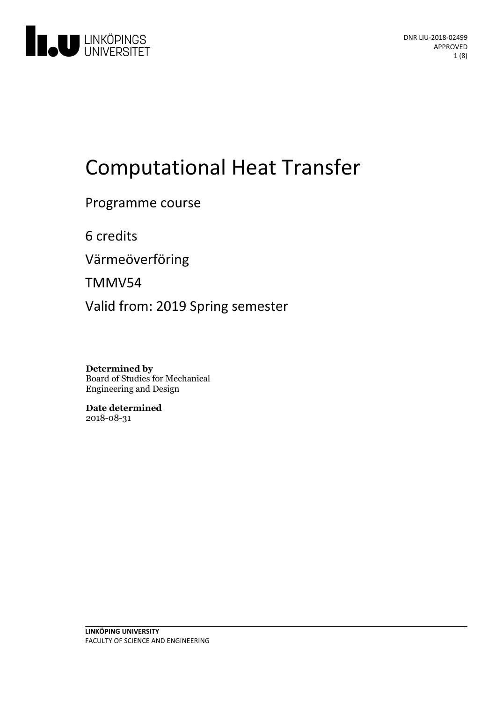

# **Computational Heat Transfer**

Programme course

6 credits

Värmeöverföring

TMMV54

Valid from: 2019 Spring semester

**Determined by** Board of Studies for Mechanical Engineering and Design

**Date determined** 2018-08-31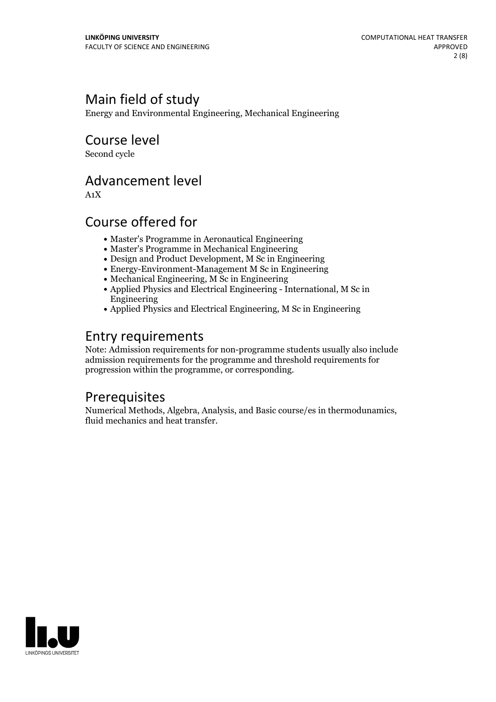## Main field of study

Energy and Environmental Engineering, Mechanical Engineering

Course level

Second cycle

## Advancement level

A1X

## Course offered for

- Master's Programme in Aeronautical Engineering
- Master's Programme in Mechanical Engineering
- Design and Product Development, M Sc in Engineering
- Energy-Environment-Management M Sc in Engineering
- Mechanical Engineering, M Sc in Engineering
- Applied Physics and Electrical Engineering International, M Sc in Engineering
- Applied Physics and Electrical Engineering, M Sc in Engineering

## Entry requirements

Note: Admission requirements for non-programme students usually also include admission requirements for the programme and threshold requirements for progression within the programme, or corresponding.

## Prerequisites

Numerical Methods, Algebra, Analysis, and Basic course/es in thermodunamics, fluid mechanics and heat transfer.

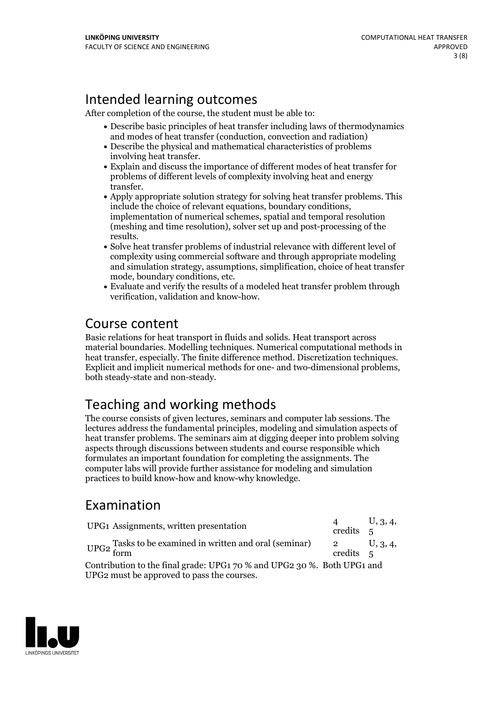## Intended learning outcomes

After completion of the course, the student must be able to:

- Describe basic principles of heat transfer including laws of thermodynamics and modes of heat transfer (conduction, convection and radiation)
- Describe the physical and mathematical characteristics of problems involving heat transfer.<br>• Explain and discuss the importance of different modes of heat transfer for
- problems of different levels of complexity involving heat and energy
- transfer.<br>• Apply appropriate solution strategy for solving heat transfer problems. This<br>include the choice of relevant equations, boundary conditions, implementation of numerical schemes, spatial and temporal resolution (meshing and time resolution), solver set up and post-processing of the results.<br>• Solve heat transfer problems of industrial relevance with different level of
- complexity using commercial software and through appropriate modeling and simulation strategy, assumptions, simplification, choice of heat transfer
- mode, boundary conditions, etc.<br>• Evaluate and verify the results of a modeled heat transfer problem through verification, validation and know-how.

## Course content

Basic relations for heat transport in fluids and solids. Heat transport across material boundaries. Modelling techniques. Numerical computational methods in heat transfer, especially. The finite difference method. Discretization techniques. Explicit and implicit numerical methods for one- and two-dimensional problems, both steady-state and non-steady.

## Teaching and working methods

The course consists of given lectures, seminars and computer lab sessions. The lectures address the fundamental principles, modeling and simulation aspects of heat transfer problems. The seminars aim at digging deeper into problem solving aspects through discussions between students and course responsible which formulates an important foundation for completing the assignments. The computer labs will provide further assistance for modeling and simulation practices to build know-how and know-why knowledge.

## Examination

| UPG1 Assignments, written presentation                                                                                | credits 5 | U, 3, 4, |
|-----------------------------------------------------------------------------------------------------------------------|-----------|----------|
| UPG2 Tasks to be examined in written and oral (seminar) $2 \nvert_{\text{cradii}}$                                    | credits 5 | U, 3, 4, |
| Contribution to the final grade: UPG1 70 % and UPG2 30 %. Both UPG1 and<br>UPG2 must be approved to pass the courses. |           |          |

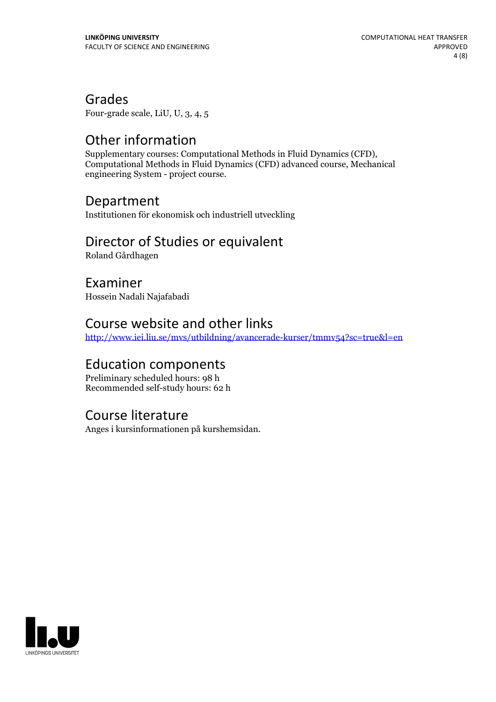Grades

Four-grade scale, LiU, U, 3, 4, 5

**Other information**<br>Supplementary courses: Computational Methods in Fluid Dynamics (CFD). Computational Methods in Fluid Dynamics (CFD) advanced course, Mechanical engineering System - project course.

## Department

Institutionen för ekonomisk och industriell utveckling

## Director of Studies or equivalent

Roland Gårdhagen

Examiner Hossein Nadali Najafabadi

## Course website and other links

<http://www.iei.liu.se/mvs/utbildning/avancerade-kurser/tmmv54?sc=true&l=en>

## Education components

Preliminary scheduled hours: 98 h Recommended self-study hours: 62 h

## Course literature

Anges i kursinformationen på kurshemsidan.

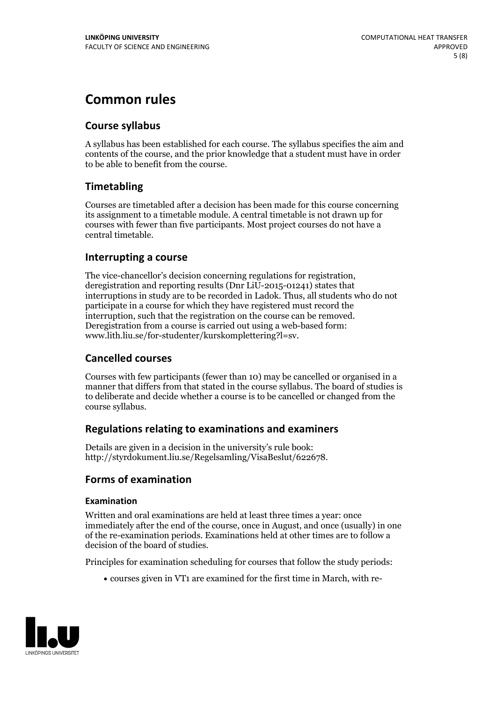## **Common rules**

#### **Course syllabus**

A syllabus has been established for each course. The syllabus specifies the aim and contents of the course, and the prior knowledge that a student must have in order to be able to benefit from the course.

#### **Timetabling**

Courses are timetabled after a decision has been made for this course concerning its assignment to a timetable module. A central timetable is not drawn up for courses with fewer than five participants. Most project courses do not have a central timetable.

#### **Interrupting a course**

The vice-chancellor's decision concerning regulations for registration, deregistration and reporting results (Dnr LiU-2015-01241) states that interruptions in study are to be recorded in Ladok. Thus, all students who do not participate in a course for which they have registered must record the interruption, such that the registration on the course can be removed. Deregistration from <sup>a</sup> course is carried outusing <sup>a</sup> web-based form: www.lith.liu.se/for-studenter/kurskomplettering?l=sv.

#### **Cancelled courses**

Courses with few participants (fewer than 10) may be cancelled or organised in a manner that differs from that stated in the course syllabus. The board of studies is to deliberate and decide whether a course is to be cancelled orchanged from the course syllabus.

#### **Regulations relatingto examinations and examiners**

Details are given in a decision in the university's rule book: http://styrdokument.liu.se/Regelsamling/VisaBeslut/622678.

#### **Forms of examination**

#### **Examination**

Written and oral examinations are held at least three times a year: once immediately after the end of the course, once in August, and once (usually) in one of the re-examination periods. Examinations held at other times are to follow a decision of the board of studies.

Principles for examination scheduling for courses that follow the study periods:

courses given in VT1 are examined for the first time in March, with re-

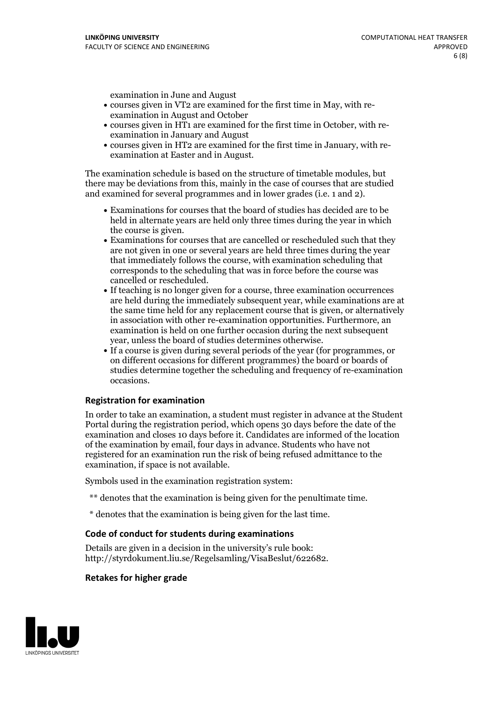examination in June and August

- courses given in VT2 are examined for the first time in May, with re-examination in August and October
- courses given in HT1 are examined for the first time in October, with re-examination in January and August
- courses given in HT2 are examined for the first time in January, with re-examination at Easter and in August.

The examination schedule is based on the structure of timetable modules, but there may be deviations from this, mainly in the case of courses that are studied and examined for several programmes and in lower grades (i.e. 1 and 2).

- Examinations for courses that the board of studies has decided are to be held in alternate years are held only three times during the year in which
- the course is given.<br>• Examinations for courses that are cancelled or rescheduled such that they are not given in one or several years are held three times during the year that immediately follows the course, with examination scheduling that corresponds to the scheduling that was in force before the course was cancelled or rescheduled.<br>• If teaching is no longer given for a course, three examination occurrences
- are held during the immediately subsequent year, while examinations are at the same time held for any replacement course that is given, or alternatively in association with other re-examination opportunities. Furthermore, an examination is held on one further occasion during the next subsequent year, unless the board of studies determines otherwise.<br>• If a course is given during several periods of the year (for programmes, or
- on different occasions for different programmes) the board orboards of studies determine together the scheduling and frequency of re-examination occasions.

#### **Registration for examination**

In order to take an examination, a student must register in advance at the Student Portal during the registration period, which opens 30 days before the date of the examination and closes 10 days before it. Candidates are informed of the location of the examination by email, four days in advance. Students who have not registered for an examination run the risk of being refused admittance to the examination, if space is not available.

Symbols used in the examination registration system:

- \*\* denotes that the examination is being given for the penultimate time.
- \* denotes that the examination is being given for the last time.

#### **Code of conduct for students during examinations**

Details are given in a decision in the university's rule book: http://styrdokument.liu.se/Regelsamling/VisaBeslut/622682.

#### **Retakes for higher grade**

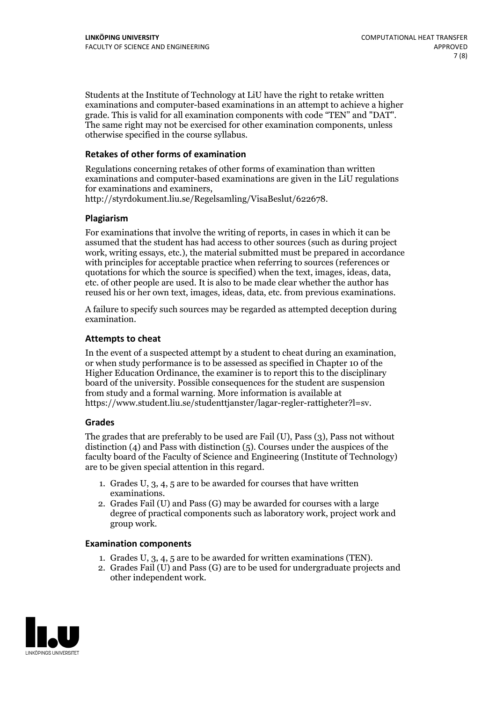Students at the Institute of Technology at LiU have the right to retake written examinations and computer-based examinations in an attempt to achieve a higher grade. This is valid for all examination components with code "TEN" and "DAT". The same right may not be exercised for other examination components, unless otherwise specified in the course syllabus.

#### **Retakes of other forms of examination**

Regulations concerning retakes of other forms of examination than written examinations and computer-based examinations are given in the LiU regulations for examinations and examiners, http://styrdokument.liu.se/Regelsamling/VisaBeslut/622678.

#### **Plagiarism**

For examinations that involve the writing of reports, in cases in which it can be assumed that the student has had access to other sources (such as during project work, writing essays, etc.), the material submitted must be prepared in accordance with principles for acceptable practice when referring to sources (references or quotations for which the source is specified) when the text, images, ideas, data, etc. of other people are used. It is also to be made clear whether the author has reused his or her own text, images, ideas, data, etc. from previous examinations.

A failure to specify such sources may be regarded as attempted deception during examination.

#### **Attempts to cheat**

In the event of <sup>a</sup> suspected attempt by <sup>a</sup> student to cheat during an examination, or when study performance is to be assessed as specified in Chapter <sup>10</sup> of the Higher Education Ordinance, the examiner is to report this to the disciplinary board of the university. Possible consequences for the student are suspension from study and a formal warning. More information is available at https://www.student.liu.se/studenttjanster/lagar-regler-rattigheter?l=sv.

#### **Grades**

The grades that are preferably to be used are Fail (U), Pass (3), Pass not without distinction  $(4)$  and Pass with distinction  $(5)$ . Courses under the auspices of the faculty board of the Faculty of Science and Engineering (Institute of Technology) are to be given special attention in this regard.

- 1. Grades U, 3, 4, 5 are to be awarded for courses that have written
- examinations. 2. Grades Fail (U) and Pass (G) may be awarded for courses with <sup>a</sup> large degree of practical components such as laboratory work, project work and group work.

#### **Examination components**

- 
- 1. Grades U, 3, 4, <sup>5</sup> are to be awarded for written examinations (TEN). 2. Grades Fail (U) and Pass (G) are to be used for undergraduate projects and other independent work.